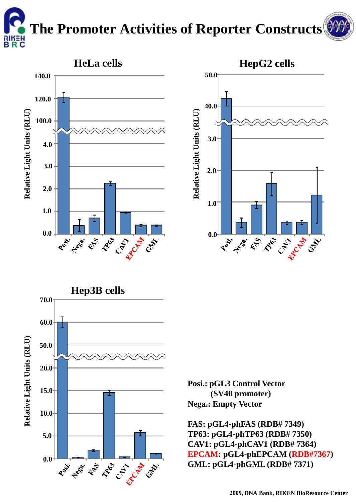## **The Promoter Activities of Reporter Constructs**







**Posi.: pGL3 Control Vector (SV40 promoter) Nega.: Empty Vector**

**FAS: pGL4-phFAS (RDB# 7349) TP63: pGL4-phTP63 (RDB# 7350) CAV1: pGL4-phCAV1 (RDB# 7364) EPCAM: pGL4-phEPCAM (RDB#7367) GML: pGL4-phGML (RDB# 7371)**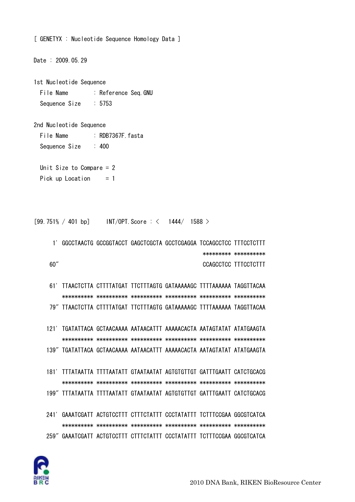

File Name : Reference Seq. GNU Sequence Size  $: 5753$ 2nd Nucleotide Sequence File Name : RDB7367F fasta  $: 400$ Sequence Size Unit Size to Compare  $= 2$ Pick up Location  $= 1$  $[99.751\% / 401 bp]$  INT/OPT. Score:  $\langle 1444 / 1588 \rangle$ 1' GGCCTAACTG GCCGGTACCT GAGCTCGCTA GCCTCGAGGA TCCAGCCTCC TTTCCTCTTT \*\*\*\*\*\*\*\*\* \*\*\*\*\*\*\*\*\*\*  $60''$ CCAGCCTCC TTTCCTCTTT 61' TTAACTCTTA CTTTTATGAT TTCTTTAGTG GATAAAAAGC TTTTAAAAAA TAGGTTACAA 79" TTAACTCTTA CTTTTATGAT TTCTTTAGTG GATAAAAAGC TTTTAAAAAA TAGGTTACAA 121' TGATATTACA GCTAACAAAA AATAACATTT AAAAACACTA AATAGTATAT ATATGAAGTA 139" TGATATTACA GCTAACAAAA AATAACATTT AAAAACACTA AATAGTATAT ATATGAAGTA 181' TITATAATTA TITTAATATT GTAATAATAT AGTGTGTTGT GATTTGAATT CATCTGCACG 199" TITATAATTA TITTAATATT GTAATAATAT AGTGTGTTGT GATTTGAATT CATCTGCACG 241' GAAATCGATT ACTGTCCTTT CTTTCTATTT CCCTATATTT TCTTTCCGAA GGCGTCATCA 259" GAAATCGATT ACTGTCCTTT CTTTCTATTT CCCTATATTT TCTTTCCGAA GGCGTCATCA

[ GENETYX : Nucleotide Sequence Homology Data ]

Date: 2009.05.29

1st Nucleotide Sequence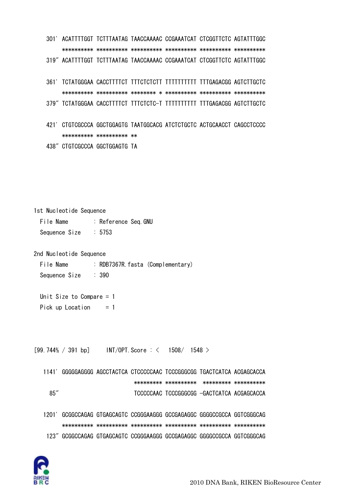301' ACATTTTGGT TCTTTAATAG TAACCAAAAC CCGAAATCAT CTCGGTTCTC AGTATTTGGC \*\*\*\*\*\*\*\*\*\* \*\*\*\*\*\*\*\*\*\* \*\*\*\*\*\*\*\*\*\* \*\*\*\*\*\*\*\*\*\* \*\*\*\*\*\*\*\*\*\* \*\*\*\*\*\*\*\*\*\* 319" ACATTTTGGT TCTTTAATAG TAACCAAAAC CCGAAATCAT CTCGGTTCTC AGTATTTGGC 361' TCTATGGGAA CACCTTTTCT TTTCTCTCTT TTTTTTTTTT TTTGAGACGG AGTCTTGCTC \*\*\*\*\*\*\*\*\*\* \*\*\*\*\*\*\*\*\*\* \*\*\*\*\*\*\*\* \* \*\*\*\*\*\*\*\*\*\* \*\*\*\*\*\*\*\*\*\* \*\*\*\*\*\*\*\*\*\* 379" TCTATGGGAA CACCTTTTCT TTTCTCTC-T TTTTTTTTTT TTTGAGACGG AGTCTTGCTC 421' CTGTCGCCCA GGCTGGAGTG TAATGGCACG ATCTCTGCTC ACTGCAACCT CAGCCTCCCC \*\*\*\*\*\*\*\*\*\* \*\*\*\*\*\*\*\*\*\* \*\* 438" CTGTCGCCCA GGCTGGAGTG TA

1st Nucleotide Sequence File Name : Reference Seq.GNU Sequence Size : 5753

2nd Nucleotide Sequence

File Name : RDB7367R.fasta (Complementary) Sequence Size : 390

 Unit Size to Compare = 1 Pick up Location  $= 1$ 

 $[99.744\% / 391 bp]$  INT/OPT. Score : < 1508/ 1548 >

 1141' GGGGGAGGGG AGCCTACTCA CTCCCCCAAC TCCCGGGCGG TGACTCATCA ACGAGCACCA \*\*\*\*\*\*\*\*\* \*\*\*\*\*\*\*\*\*\* \*\*\*\*\*\*\*\*\* \*\*\*\*\*\*\*\*\*\* 85" TCCCCCAAC TCCCGGGCGG -GACTCATCA ACGAGCACCA

 1201' GCGGCCAGAG GTGAGCAGTC CCGGGAAGGG GCCGAGAGGC GGGGCCGCCA GGTCGGGCAG \*\*\*\*\*\*\*\*\*\* \*\*\*\*\*\*\*\*\*\* \*\*\*\*\*\*\*\*\*\* \*\*\*\*\*\*\*\*\*\* \*\*\*\*\*\*\*\*\*\* \*\*\*\*\*\*\*\*\*\* 123" GCGGCCAGAG GTGAGCAGTC CCGGGAAGGG GCCGAGAGGC GGGGCCGCCA GGTCGGGCAG